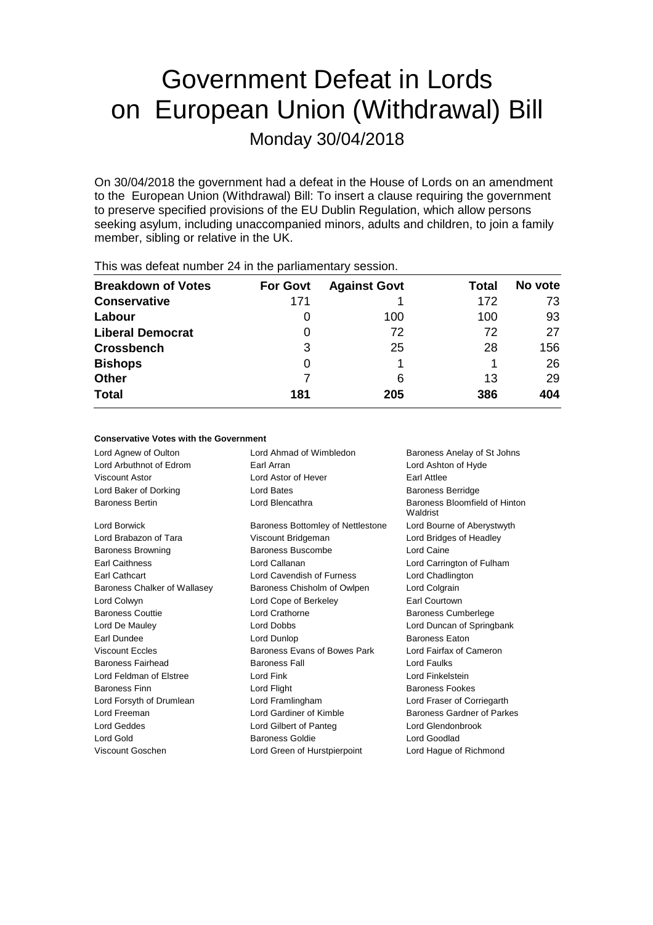# Government Defeat in Lords on European Union (Withdrawal) Bill Monday 30/04/2018

On 30/04/2018 the government had a defeat in the House of Lords on an amendment to the European Union (Withdrawal) Bill: To insert a clause requiring the government to preserve specified provisions of the EU Dublin Regulation, which allow persons seeking asylum, including unaccompanied minors, adults and children, to join a family member, sibling or relative in the UK.

| $\frac{1}{100}$ $\frac{1}{100}$ and $\frac{1}{100}$ and $\frac{1}{100}$ and $\frac{1}{100}$ is the paintain of $\frac{1}{100}$ and $\frac{1}{100}$ |                 |                     |       |         |  |
|----------------------------------------------------------------------------------------------------------------------------------------------------|-----------------|---------------------|-------|---------|--|
| <b>Breakdown of Votes</b>                                                                                                                          | <b>For Govt</b> | <b>Against Govt</b> | Total | No vote |  |
| <b>Conservative</b>                                                                                                                                | 171             |                     | 172   | 73      |  |
| Labour                                                                                                                                             |                 | 100                 | 100   | 93      |  |
| <b>Liberal Democrat</b>                                                                                                                            | 0               | 72                  | 72    | 27      |  |
| <b>Crossbench</b>                                                                                                                                  | 3               | 25                  | 28    | 156     |  |
| <b>Bishops</b>                                                                                                                                     | Ω               |                     |       | 26      |  |
| <b>Other</b>                                                                                                                                       |                 | 6                   | 13    | 29      |  |
| <b>Total</b>                                                                                                                                       | 181             | 205                 | 386   | 404     |  |
|                                                                                                                                                    |                 |                     |       |         |  |

This was defeat number 24 in the parliamentary session.

#### **Conservative Votes with the Government**

| Lord Agnew of Oulton         | Lord Ahmad of Wimbledon                | Baroness Anelay of St Johns               |  |
|------------------------------|----------------------------------------|-------------------------------------------|--|
| Lord Arbuthnot of Edrom      | Earl Arran                             | Lord Ashton of Hyde                       |  |
| Viscount Astor               | Lord Astor of Hever                    | Earl Attlee                               |  |
| Lord Baker of Dorking        | Lord Bates                             | <b>Baroness Berridge</b>                  |  |
| <b>Baroness Bertin</b>       | Lord Blencathra                        | Baroness Bloomfield of Hinton<br>Waldrist |  |
| Lord Borwick                 | Baroness Bottomley of Nettlestone      | Lord Bourne of Aberystwyth                |  |
| Lord Brabazon of Tara        | Viscount Bridgeman                     | Lord Bridges of Headley                   |  |
| <b>Baroness Browning</b>     | <b>Baroness Buscombe</b><br>Lord Caine |                                           |  |
| <b>Earl Caithness</b>        | Lord Callanan                          | Lord Carrington of Fulham                 |  |
| Earl Cathcart                | Lord Cavendish of Furness              | Lord Chadlington                          |  |
| Baroness Chalker of Wallasey | Baroness Chisholm of Owlpen            | Lord Colgrain                             |  |
| Lord Colwyn                  | Lord Cope of Berkeley                  | Earl Courtown                             |  |
| <b>Baroness Couttie</b>      | Lord Crathorne                         | <b>Baroness Cumberlege</b>                |  |
| Lord De Mauley               | Lord Dobbs                             | Lord Duncan of Springbank                 |  |
| Earl Dundee                  | Lord Dunlop                            | <b>Baroness Eaton</b>                     |  |
| <b>Viscount Eccles</b>       | Baroness Evans of Bowes Park           | Lord Fairfax of Cameron                   |  |
| Baroness Fairhead            | <b>Baroness Fall</b>                   | Lord Faulks                               |  |
| Lord Feldman of Elstree      | Lord Fink                              | Lord Finkelstein                          |  |
| <b>Baroness Finn</b>         | Lord Flight                            | <b>Baroness Fookes</b>                    |  |
| Lord Forsyth of Drumlean     | Lord Framlingham                       | Lord Fraser of Corriegarth                |  |
| Lord Freeman                 | Lord Gardiner of Kimble                | Baroness Gardner of Parkes                |  |
| Lord Geddes                  | Lord Gilbert of Panteg                 | Lord Glendonbrook                         |  |
| Lord Gold                    | <b>Baroness Goldie</b><br>Lord Goodlad |                                           |  |
| Viscount Goschen             | Lord Green of Hurstpierpoint           | Lord Hague of Richmond                    |  |
|                              |                                        |                                           |  |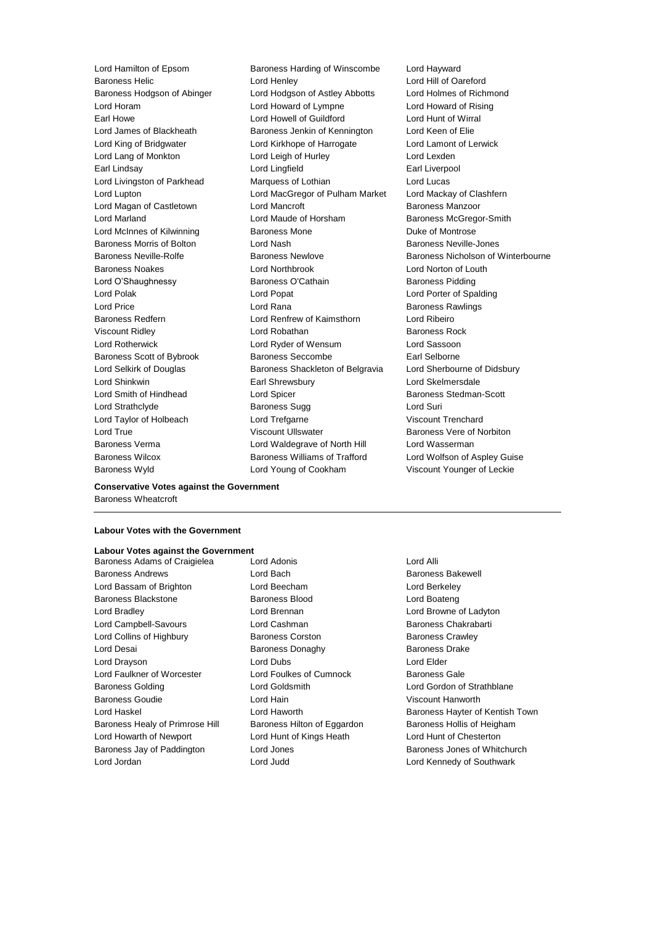Lord Hamilton of Epsom Baroness Harding of Winscombe Lord Hayward Baroness Helic Lord Henley Lord Hill of Oareford Baroness Hodgson of Abinger Lord Hodgson of Astley Abbotts Lord Holmes of Richmond Lord Horam Lord Howard of Lympne Lord Howard of Rising Earl Howe Lord Howell of Guildford Lord Hunt of Wirral Lord James of Blackheath Baroness Jenkin of Kennington Lord Keen of Elie Lord King of Bridgwater Lord Kirkhope of Harrogate Lord Lamont of Lerwick Lord Lang of Monkton **Lord Leigh of Hurley** Lord Lexden Earl Lindsay Lord Lingfield Earl Liverpool Lord Livingston of Parkhead Marquess of Lothian Lord Lucas Lord Lupton Lord MacGregor of Pulham Market Lord Mackay of Clashfern Lord Magan of Castletown **Lord Mancroft Baroness Manzoor** Baroness Manzoor Lord Marland Lord Maude of Horsham Baroness McGregor-Smith Lord McInnes of Kilwinning **Baroness Mone Duke of Montrose** Baroness Morris of Bolton Lord Nash Baroness Neville-Jones Baroness Noakes Lord Northbrook Lord Norton of Louth Lord O'Shaughnessy **Baroness O'Cathain** Baroness Pidding Lord Polak Lord Popat Lord Porter of Spalding Lord Price **Lord Rana Communist Lord Rana** Baroness Rawlings Baroness Redfern Lord Renfrew of Kaimsthorn Lord Ribeiro Viscount Ridley **Communist Contract Contract Contract Contract Contract Contract Contract Contract Contract Contract Contract Contract Contract Contract Contract Contract Contract Contract Contract Contract Contract Contra** Lord Rotherwick Lord Ryder of Wensum Lord Sassoon Baroness Scott of Bybrook Baroness Seccombe Earl Selborne Lord Selkirk of Douglas **Baroness Shackleton of Belgravia** Lord Sherbourne of Didsbury Lord Shinkwin Earl Shrewsbury Lord Skelmersdale Lord Smith of Hindhead Lord Spicer Baroness Stedman-Scott Lord Strathclyde **Baroness Sugg Lord Suri** Lord Taylor of Holbeach Lord Trefgarne Viscount Trenchard Lord True **Contains Community** Viscount Ullswater **Baroness Vere of Norbiton** Baroness Verma Lord Waldegrave of North Hill Lord Wasserman Baroness Wilcox **Baroness Williams of Trafford** Lord Wolfson of Aspley Guise Baroness Wyld **Lord Young of Cookham** Viscount Younger of Leckie

Baroness Neville-Rolfe **Baroness Newlove** Baroness Newlove **Baroness Nicholson of Winterbourne** 

**Conservative Votes against the Government** Baroness Wheatcroft

#### **Labour Votes with the Government**

## **Labour Votes against the Government**

Baroness Andrews Lord Bach Baroness Bakewell Lord Bassam of Brighton Lord Beecham Lord Berkeley Baroness Blackstone Baroness Blood Lord Boateng Lord Bradley Lord Brennan Lord Browne of Ladyton Lord Campbell-Savours Lord Cashman Baroness Chakrabarti Lord Collins of Highbury **Baroness Corston** Baroness Crawley Lord Desai **Baroness Donaghy** Baroness Donaghy Baroness Drake Lord Drayson Lord Dubs Lord Elder Lord Faulkner of Worcester **Lord Foulkes of Cumnock** Baroness Gale Baroness Golding Lord Goldsmith Lord Gordon of Strathblane Baroness Goudie Lord Hain Viscount Hanworth Baroness Healy of Primrose Hill Baroness Hilton of Eggardon Baroness Hollis of Heigham Lord Howarth of Newport Lord Hunt of Kings Heath Lord Hunt of Chesterton Baroness Jay of Paddington **Lord Jones** Baroness Jones of Whitchurch Lord Jordan Lord Judd Lord Kennedy of Southwark

Baroness Adams of Craigielea Lord Adonis Lord Annual Lord Alli

Lord Haskel **Lord Haworth Baroness Hayter of Kentish Town**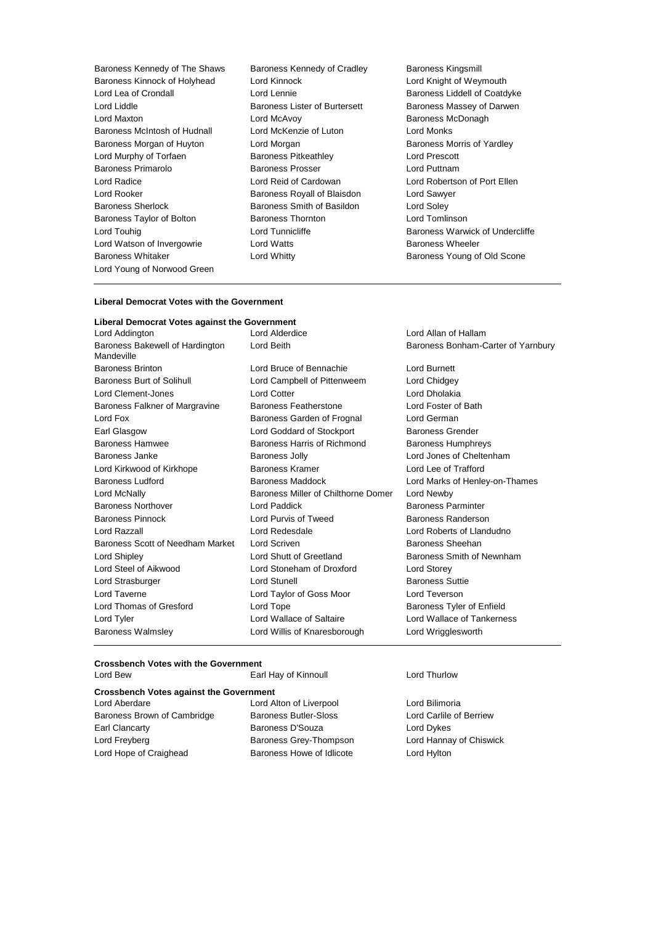- Baroness Kennedy of The Shaws Baroness Kennedy of Cradley Baroness Kingsmill<br>Baroness Kinnock of Holyhead Lord Kinnock Cradley Lord Knight of Weymouth Baroness Kinnock of Holyhead Lord Kinnock<br>Lord Lea of Crondall Lord Lord Lennie Lord Liddle **Baroness Lister of Burtersett** Baroness Massey of Darwen Lord Maxton **Lord McAvoy Consumers** Lord McAvoy **Baroness McDonagh** Baroness McIntosh of Hudnall Lord McKenzie of Luton Lord Monks Baroness Morgan of Huyton Lord Morgan **Baroness Morris of Yardley** Lord Murphy of Torfaen **Baroness Pitkeathley** Lord Prescott Baroness Primarolo **Baroness Prosser Baroness Prosser** Lord Puttnam Lord Radice Lord Reid of Cardowan Lord Robertson of Port Ellen Lord Rooker **Baroness Royall of Blaisdon** Lord Sawyer Baroness Sherlock **Baroness Smith of Basildon** Lord Soley Baroness Taylor of Bolton **Baroness Thornton** Lord Tomlinson Lord Touhig **Lord Tunnicliffe Baroness Warwick of Undercliffe Baroness Warwick of Undercliffe** Lord Watson of Invergowrie **Lord Watts Conserverse Example 2** Baroness Wheeler Baroness Whitaker **Lord Whitty Communist Communist Communist Communist Communist Communist Communist Communist Communist Communist Communist Communist Communist Communist Communist Communist Communist Communist Communist** Lord Young of Norwood Green
	-
- Baroness Liddell of Coatdyke

#### **Liberal Democrat Votes with the Government**

#### **Liberal Democrat Votes against the Government**

| Lord Addington                                | Lord Alderdice                      | Lord Allan of Hallam               |  |
|-----------------------------------------------|-------------------------------------|------------------------------------|--|
| Baroness Bakewell of Hardington<br>Mandeville | Lord Beith                          | Baroness Bonham-Carter of Yarnbury |  |
| <b>Baroness Brinton</b>                       | Lord Bruce of Bennachie             | <b>Lord Burnett</b>                |  |
| <b>Baroness Burt of Solihull</b>              | Lord Campbell of Pittenweem         | Lord Chidgey                       |  |
| Lord Clement-Jones                            | Lord Cotter                         | Lord Dholakia                      |  |
| Baroness Falkner of Margravine                | <b>Baroness Featherstone</b>        | Lord Foster of Bath                |  |
| Lord Fox                                      | Baroness Garden of Frognal          | Lord German                        |  |
| Earl Glasgow                                  | Lord Goddard of Stockport           | <b>Baroness Grender</b>            |  |
| <b>Baroness Hamwee</b>                        | Baroness Harris of Richmond         | <b>Baroness Humphreys</b>          |  |
| Baroness Janke                                | <b>Baroness Jolly</b>               | Lord Jones of Cheltenham           |  |
| Lord Kirkwood of Kirkhope                     | Baroness Kramer                     | Lord Lee of Trafford               |  |
| <b>Baroness Ludford</b>                       | Baroness Maddock                    | Lord Marks of Henley-on-Thames     |  |
| Lord McNally                                  | Baroness Miller of Chilthorne Domer | Lord Newby                         |  |
| <b>Baroness Northover</b>                     | Lord Paddick                        | <b>Baroness Parminter</b>          |  |
| <b>Baroness Pinnock</b>                       | Lord Purvis of Tweed                | Baroness Randerson                 |  |
| Lord Razzall                                  | Lord Redesdale                      | Lord Roberts of Llandudno          |  |
| Baroness Scott of Needham Market              | Lord Scriven                        | Baroness Sheehan                   |  |
| Lord Shipley                                  | Lord Shutt of Greetland             | Baroness Smith of Newnham          |  |
| Lord Steel of Aikwood                         | Lord Stoneham of Droxford           | <b>Lord Storey</b>                 |  |
| Lord Strasburger                              | Lord Stunell                        | <b>Baroness Suttie</b>             |  |
| Lord Taverne                                  | Lord Taylor of Goss Moor            | Lord Teverson                      |  |
| Lord Thomas of Gresford                       | Lord Tope                           | Baroness Tyler of Enfield          |  |
| Lord Tyler                                    | Lord Wallace of Saltaire            | Lord Wallace of Tankerness         |  |
| <b>Baroness Walmsley</b>                      | Lord Willis of Knaresborough        | Lord Wrigglesworth                 |  |
|                                               |                                     |                                    |  |

#### **Crossbench Votes with the Government** Lord Bew Earl Hay of Kinnoull Lord Thurlow

| <b>Crossbench Votes against the Government</b> |                              |  |  |  |
|------------------------------------------------|------------------------------|--|--|--|
| Lord Aberdare                                  | Lord Alton of Liverpool      |  |  |  |
| Baroness Brown of Cambridge                    | <b>Baroness Butler-Sloss</b> |  |  |  |
| Earl Clancarty                                 | Baroness D'Souza             |  |  |  |
| Lord Freyberg                                  | Baroness Grey-Thompson       |  |  |  |
| Lord Hope of Craighead                         | Baroness Howe of Idlicote    |  |  |  |
|                                                |                              |  |  |  |

Lord Bilimoria Lord Carlile of Berriew Lord Dykes Lord Hannay of Chiswick Lord Hylton